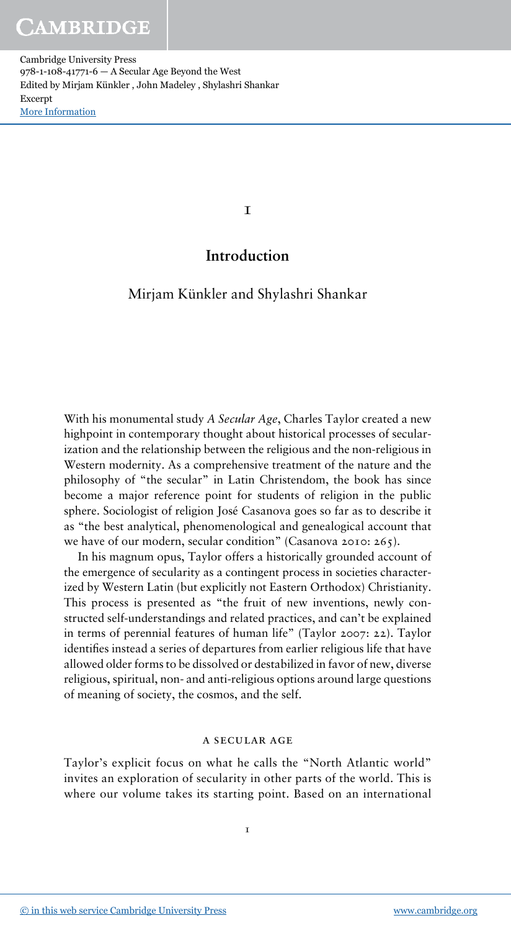1

## Introduction

## Mirjam Künkler and Shylashri Shankar

With his monumental study A Secular Age, Charles Taylor created a new highpoint in contemporary thought about historical processes of secularization and the relationship between the religious and the non-religious in Western modernity. As a comprehensive treatment of the nature and the philosophy of "the secular" in Latin Christendom, the book has since become a major reference point for students of religion in the public sphere. Sociologist of religion José Casanova goes so far as to describe it as "the best analytical, phenomenological and genealogical account that we have of our modern, secular condition" (Casanova 2010: 265).

In his magnum opus, Taylor offers a historically grounded account of the emergence of secularity as a contingent process in societies characterized by Western Latin (but explicitly not Eastern Orthodox) Christianity. This process is presented as "the fruit of new inventions, newly constructed self-understandings and related practices, and can't be explained in terms of perennial features of human life" (Taylor 2007: 22). Taylor identifies instead a series of departures from earlier religious life that have allowed older forms to be dissolved or destabilized in favor of new, diverse religious, spiritual, non- and anti-religious options around large questions of meaning of society, the cosmos, and the self.

### a secular age

Taylor's explicit focus on what he calls the "North Atlantic world" invites an exploration of secularity in other parts of the world. This is where our volume takes its starting point. Based on an international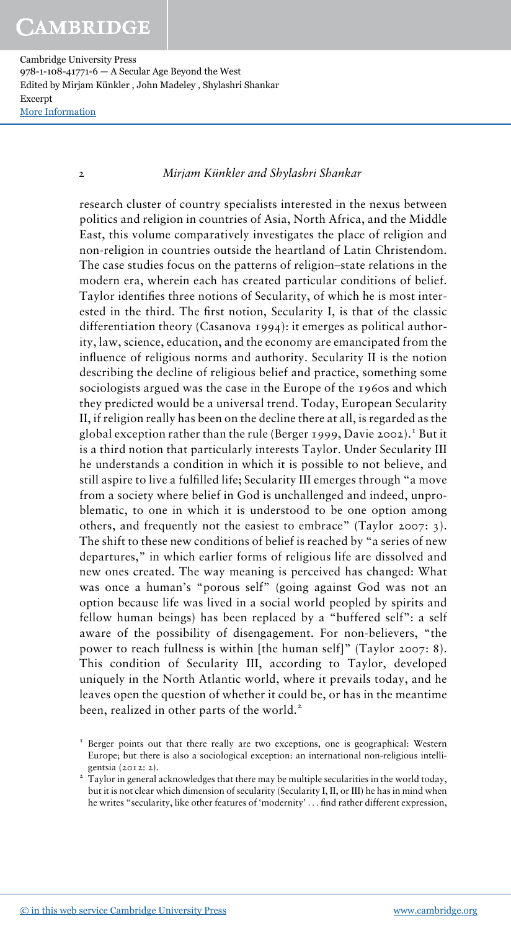#### 2 Mirjam Künkler and Shylashri Shankar

research cluster of country specialists interested in the nexus between politics and religion in countries of Asia, North Africa, and the Middle East, this volume comparatively investigates the place of religion and non-religion in countries outside the heartland of Latin Christendom. The case studies focus on the patterns of religion–state relations in the modern era, wherein each has created particular conditions of belief. Taylor identifies three notions of Secularity, of which he is most interested in the third. The first notion, Secularity I, is that of the classic differentiation theory (Casanova 1994): it emerges as political authority, law, science, education, and the economy are emancipated from the influence of religious norms and authority. Secularity II is the notion describing the decline of religious belief and practice, something some sociologists argued was the case in the Europe of the 1960s and which they predicted would be a universal trend. Today, European Secularity II, if religion really has been on the decline there at all, is regarded as the global exception rather than the rule (Berger 1999, Davie 2002).<sup>1</sup> But it is a third notion that particularly interests Taylor. Under Secularity III he understands a condition in which it is possible to not believe, and still aspire to live a fulfilled life; Secularity III emerges through "a move from a society where belief in God is unchallenged and indeed, unproblematic, to one in which it is understood to be one option among others, and frequently not the easiest to embrace" (Taylor 2007: 3). The shift to these new conditions of belief is reached by "a series of new departures," in which earlier forms of religious life are dissolved and new ones created. The way meaning is perceived has changed: What was once a human's "porous self" (going against God was not an option because life was lived in a social world peopled by spirits and fellow human beings) has been replaced by a "buffered self": a self aware of the possibility of disengagement. For non-believers, "the power to reach fullness is within [the human self]" (Taylor 2007: 8). This condition of Secularity III, according to Taylor, developed uniquely in the North Atlantic world, where it prevails today, and he leaves open the question of whether it could be, or has in the meantime been, realized in other parts of the world.<sup>2</sup>

<sup>1</sup> Berger points out that there really are two exceptions, one is geographical: Western Europe; but there is also a sociological exception: an international non-religious intelligentsia (2012: 2).

 $2\degree$  Taylor in general acknowledges that there may be multiple secularities in the world today, but it is not clear which dimension of secularity (Secularity I, II, or III) he has in mind when he writes "secularity, like other features of 'modernity' ... find rather different expression,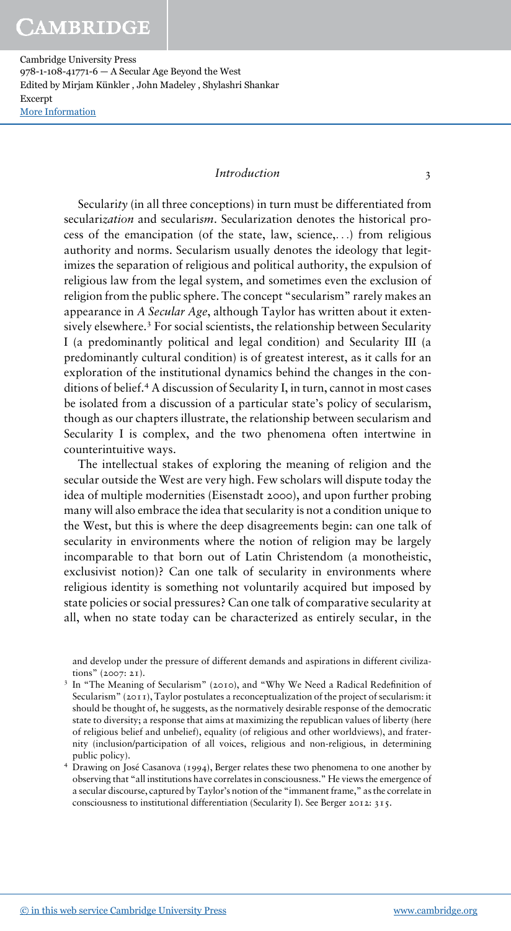# CAMBRIDGE

Cambridge University Press 978-1-108-41771-6 — A Secular Age Beyond the West Edited by Mirjam Künkler , John Madeley , Shylashri Shankar Excerpt [More Information](www.cambridge.org/9781108417716)

#### Introduction 3

Secularity (in all three conceptions) in turn must be differentiated from secularization and secularism. Secularization denotes the historical process of the emancipation (of the state, law, science,...) from religious authority and norms. Secularism usually denotes the ideology that legitimizes the separation of religious and political authority, the expulsion of religious law from the legal system, and sometimes even the exclusion of religion from the public sphere. The concept "secularism" rarely makes an appearance in A Secular Age, although Taylor has written about it extensively elsewhere.<sup>3</sup> For social scientists, the relationship between Secularity I (a predominantly political and legal condition) and Secularity III (a predominantly cultural condition) is of greatest interest, as it calls for an exploration of the institutional dynamics behind the changes in the conditions of belief.<sup>4</sup> A discussion of Secularity I, in turn, cannot in most cases be isolated from a discussion of a particular state's policy of secularism, though as our chapters illustrate, the relationship between secularism and Secularity I is complex, and the two phenomena often intertwine in counterintuitive ways.

The intellectual stakes of exploring the meaning of religion and the secular outside the West are very high. Few scholars will dispute today the idea of multiple modernities (Eisenstadt 2000), and upon further probing many will also embrace the idea that secularity is not a condition unique to the West, but this is where the deep disagreements begin: can one talk of secularity in environments where the notion of religion may be largely incomparable to that born out of Latin Christendom (a monotheistic, exclusivist notion)? Can one talk of secularity in environments where religious identity is something not voluntarily acquired but imposed by state policies or social pressures? Can one talk of comparative secularity at all, when no state today can be characterized as entirely secular, in the

and develop under the pressure of different demands and aspirations in different civilizations" (2007: 21).

- 3 In "The Meaning of Secularism" (2010), and "Why We Need a Radical Redefinition of Secularism" (2011), Taylor postulates a reconceptualization of the project of secularism: it should be thought of, he suggests, as the normatively desirable response of the democratic state to diversity; a response that aims at maximizing the republican values of liberty (here of religious belief and unbelief), equality (of religious and other worldviews), and fraternity (inclusion/participation of all voices, religious and non-religious, in determining public policy).
- <sup>4</sup> Drawing on José Casanova (1994), Berger relates these two phenomena to one another by observing that "all institutions have correlates in consciousness." He views the emergence of a secular discourse, captured by Taylor's notion of the "immanent frame," as the correlate in consciousness to institutional differentiation (Secularity I). See Berger 2012: 315.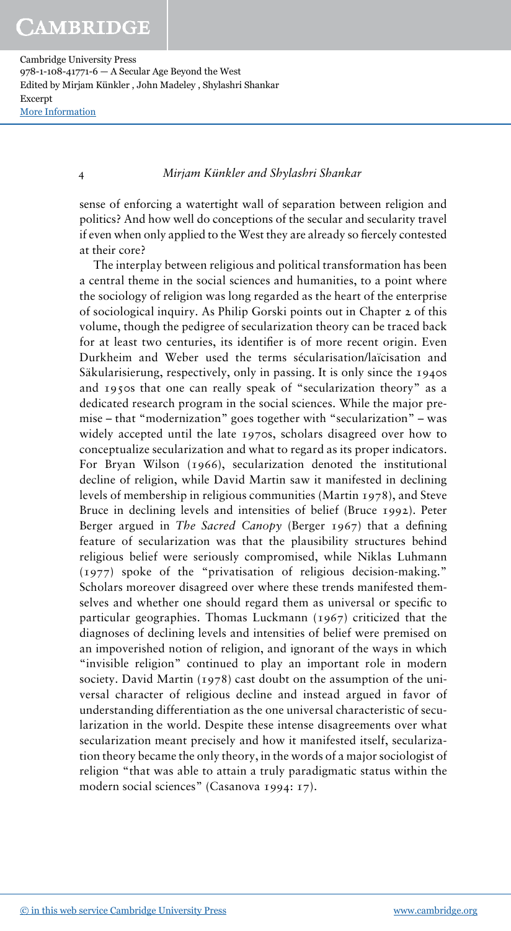#### 4 Mirjam Künkler and Shylashri Shankar

sense of enforcing a watertight wall of separation between religion and politics? And how well do conceptions of the secular and secularity travel if even when only applied to the West they are already so fiercely contested at their core?

The interplay between religious and political transformation has been a central theme in the social sciences and humanities, to a point where the sociology of religion was long regarded as the heart of the enterprise of sociological inquiry. As Philip Gorski points out in Chapter 2 of this volume, though the pedigree of secularization theory can be traced back for at least two centuries, its identifier is of more recent origin. Even Durkheim and Weber used the terms sécularisation/laïcisation and Säkularisierung, respectively, only in passing. It is only since the 1940s and 1950s that one can really speak of "secularization theory" as a dedicated research program in the social sciences. While the major premise – that "modernization" goes together with "secularization" – was widely accepted until the late 1970s, scholars disagreed over how to conceptualize secularization and what to regard as its proper indicators. For Bryan Wilson (1966), secularization denoted the institutional decline of religion, while David Martin saw it manifested in declining levels of membership in religious communities (Martin 1978), and Steve Bruce in declining levels and intensities of belief (Bruce 1992). Peter Berger argued in The Sacred Canopy (Berger 1967) that a defining feature of secularization was that the plausibility structures behind religious belief were seriously compromised, while Niklas Luhmann (1977) spoke of the "privatisation of religious decision-making." Scholars moreover disagreed over where these trends manifested themselves and whether one should regard them as universal or specific to particular geographies. Thomas Luckmann (1967) criticized that the diagnoses of declining levels and intensities of belief were premised on an impoverished notion of religion, and ignorant of the ways in which "invisible religion" continued to play an important role in modern society. David Martin (1978) cast doubt on the assumption of the universal character of religious decline and instead argued in favor of understanding differentiation as the one universal characteristic of secularization in the world. Despite these intense disagreements over what secularization meant precisely and how it manifested itself, secularization theory became the only theory, in the words of a major sociologist of religion "that was able to attain a truly paradigmatic status within the modern social sciences" (Casanova 1994: 17).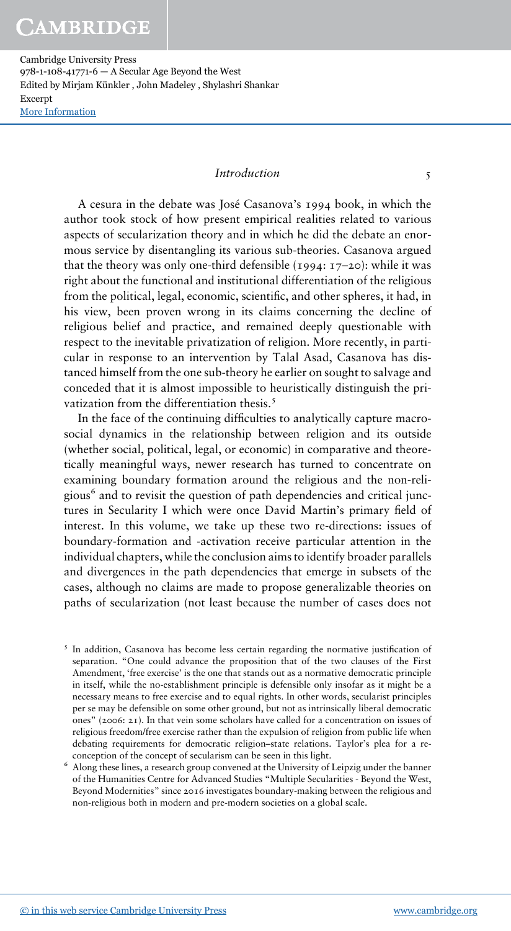# CAMBRIDGE

Cambridge University Press 978-1-108-41771-6 — A Secular Age Beyond the West Edited by Mirjam Künkler , John Madeley , Shylashri Shankar Excerpt [More Information](www.cambridge.org/9781108417716)

#### Introduction 5

A cesura in the debate was José Casanova's 1994 book, in which the author took stock of how present empirical realities related to various aspects of secularization theory and in which he did the debate an enormous service by disentangling its various sub-theories. Casanova argued that the theory was only one-third defensible (1994:  $17-20$ ): while it was right about the functional and institutional differentiation of the religious from the political, legal, economic, scientific, and other spheres, it had, in his view, been proven wrong in its claims concerning the decline of religious belief and practice, and remained deeply questionable with respect to the inevitable privatization of religion. More recently, in particular in response to an intervention by Talal Asad, Casanova has distanced himself from the one sub-theory he earlier on sought to salvage and conceded that it is almost impossible to heuristically distinguish the privatization from the differentiation thesis.<sup>5</sup>

In the face of the continuing difficulties to analytically capture macrosocial dynamics in the relationship between religion and its outside (whether social, political, legal, or economic) in comparative and theoretically meaningful ways, newer research has turned to concentrate on examining boundary formation around the religious and the non-religious<sup>6</sup> and to revisit the question of path dependencies and critical junctures in Secularity I which were once David Martin's primary field of interest. In this volume, we take up these two re-directions: issues of boundary-formation and -activation receive particular attention in the individual chapters, while the conclusion aims to identify broader parallels and divergences in the path dependencies that emerge in subsets of the cases, although no claims are made to propose generalizable theories on paths of secularization (not least because the number of cases does not

<sup>5</sup> In addition, Casanova has become less certain regarding the normative justification of separation. "One could advance the proposition that of the two clauses of the First Amendment, 'free exercise' is the one that stands out as a normative democratic principle in itself, while the no-establishment principle is defensible only insofar as it might be a necessary means to free exercise and to equal rights. In other words, secularist principles per se may be defensible on some other ground, but not as intrinsically liberal democratic ones" (2006: 21). In that vein some scholars have called for a concentration on issues of religious freedom/free exercise rather than the expulsion of religion from public life when debating requirements for democratic religion–state relations. Taylor's plea for a reconception of the concept of secularism can be seen in this light.

<sup>6</sup> Along these lines, a research group convened at the University of Leipzig under the banner of the Humanities Centre for Advanced Studies "Multiple Secularities - Beyond the West, Beyond Modernities" since 2016 investigates boundary-making between the religious and non-religious both in modern and pre-modern societies on a global scale.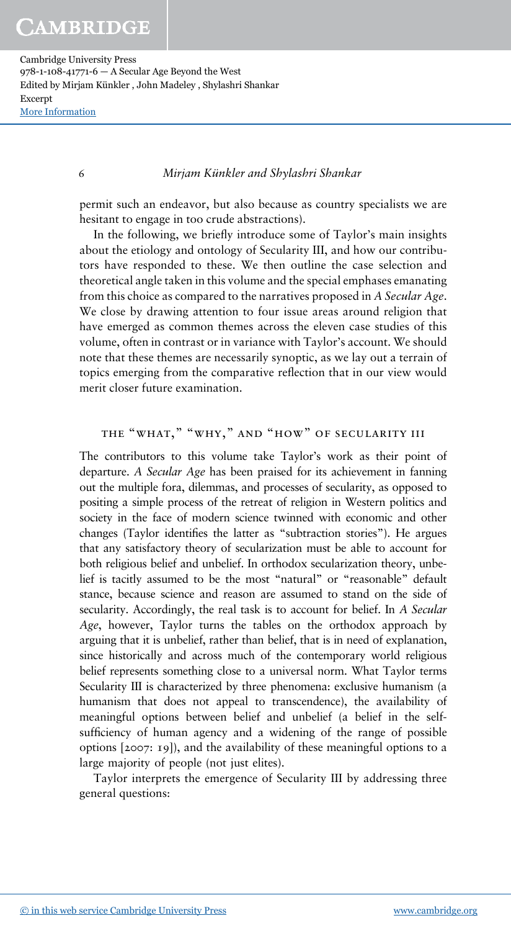#### 6 Mirjam Künkler and Shylashri Shankar

permit such an endeavor, but also because as country specialists we are hesitant to engage in too crude abstractions).

In the following, we briefly introduce some of Taylor's main insights about the etiology and ontology of Secularity III, and how our contributors have responded to these. We then outline the case selection and theoretical angle taken in this volume and the special emphases emanating from this choice as compared to the narratives proposed in A Secular Age. We close by drawing attention to four issue areas around religion that have emerged as common themes across the eleven case studies of this volume, often in contrast or in variance with Taylor's account. We should note that these themes are necessarily synoptic, as we lay out a terrain of topics emerging from the comparative reflection that in our view would merit closer future examination.

### the "what," "why," and "how" of secularity iii

The contributors to this volume take Taylor's work as their point of departure. A Secular Age has been praised for its achievement in fanning out the multiple fora, dilemmas, and processes of secularity, as opposed to positing a simple process of the retreat of religion in Western politics and society in the face of modern science twinned with economic and other changes (Taylor identifies the latter as "subtraction stories"). He argues that any satisfactory theory of secularization must be able to account for both religious belief and unbelief. In orthodox secularization theory, unbelief is tacitly assumed to be the most "natural" or "reasonable" default stance, because science and reason are assumed to stand on the side of secularity. Accordingly, the real task is to account for belief. In A Secular Age, however, Taylor turns the tables on the orthodox approach by arguing that it is unbelief, rather than belief, that is in need of explanation, since historically and across much of the contemporary world religious belief represents something close to a universal norm. What Taylor terms Secularity III is characterized by three phenomena: exclusive humanism (a humanism that does not appeal to transcendence), the availability of meaningful options between belief and unbelief (a belief in the selfsufficiency of human agency and a widening of the range of possible options [2007: 19]), and the availability of these meaningful options to a large majority of people (not just elites).

Taylor interprets the emergence of Secularity III by addressing three general questions: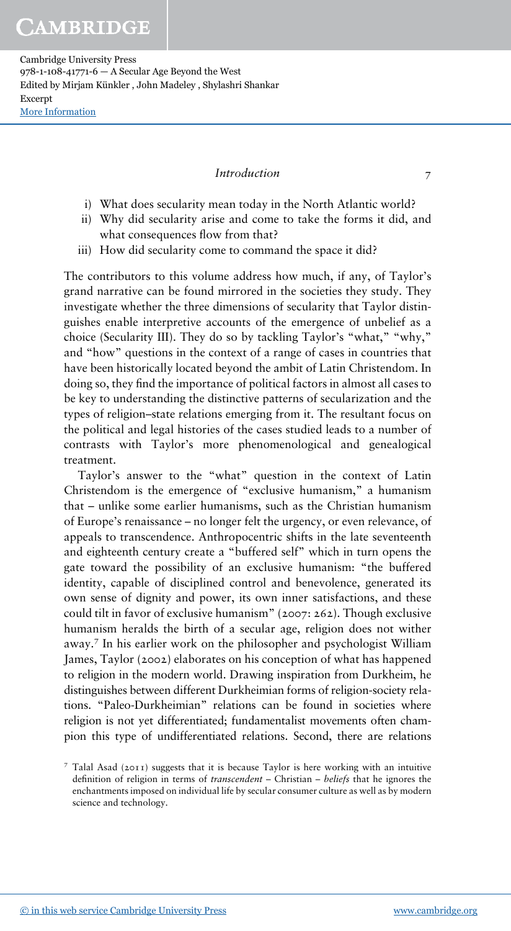### Introduction 7

- i) What does secularity mean today in the North Atlantic world?
- ii) Why did secularity arise and come to take the forms it did, and what consequences flow from that?
- iii) How did secularity come to command the space it did?

The contributors to this volume address how much, if any, of Taylor's grand narrative can be found mirrored in the societies they study. They investigate whether the three dimensions of secularity that Taylor distinguishes enable interpretive accounts of the emergence of unbelief as a choice (Secularity III). They do so by tackling Taylor's "what," "why," and "how" questions in the context of a range of cases in countries that have been historically located beyond the ambit of Latin Christendom. In doing so, they find the importance of political factors in almost all cases to be key to understanding the distinctive patterns of secularization and the types of religion–state relations emerging from it. The resultant focus on the political and legal histories of the cases studied leads to a number of contrasts with Taylor's more phenomenological and genealogical treatment.

Taylor's answer to the "what" question in the context of Latin Christendom is the emergence of "exclusive humanism," a humanism that – unlike some earlier humanisms, such as the Christian humanism of Europe's renaissance – no longer felt the urgency, or even relevance, of appeals to transcendence. Anthropocentric shifts in the late seventeenth and eighteenth century create a "buffered self" which in turn opens the gate toward the possibility of an exclusive humanism: "the buffered identity, capable of disciplined control and benevolence, generated its own sense of dignity and power, its own inner satisfactions, and these could tilt in favor of exclusive humanism" (2007: 262). Though exclusive humanism heralds the birth of a secular age, religion does not wither away.<sup>7</sup> In his earlier work on the philosopher and psychologist William James, Taylor (2002) elaborates on his conception of what has happened to religion in the modern world. Drawing inspiration from Durkheim, he distinguishes between different Durkheimian forms of religion-society relations. "Paleo-Durkheimian" relations can be found in societies where religion is not yet differentiated; fundamentalist movements often champion this type of undifferentiated relations. Second, there are relations

<sup>7</sup> Talal Asad (2011) suggests that it is because Taylor is here working with an intuitive definition of religion in terms of transcendent – Christian – beliefs that he ignores the enchantments imposed on individual life by secular consumer culture as well as by modern science and technology.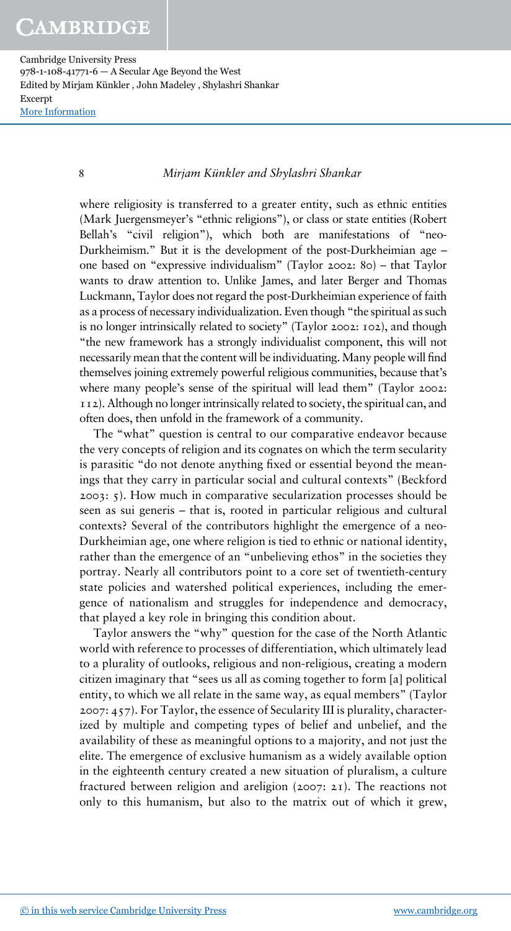#### 8 Mirjam Künkler and Shylashri Shankar

where religiosity is transferred to a greater entity, such as ethnic entities (Mark Juergensmeyer's "ethnic religions"), or class or state entities (Robert Bellah's "civil religion"), which both are manifestations of "neo-Durkheimism." But it is the development of the post-Durkheimian age – one based on "expressive individualism" (Taylor 2002: 80) – that Taylor wants to draw attention to. Unlike James, and later Berger and Thomas Luckmann, Taylor does not regard the post-Durkheimian experience of faith as a process of necessary individualization. Even though "the spiritual as such is no longer intrinsically related to society" (Taylor 2002: 102), and though "the new framework has a strongly individualist component, this will not necessarily mean that the content will be individuating.Many people will find themselves joining extremely powerful religious communities, because that's where many people's sense of the spiritual will lead them" (Taylor 2002: 112). Although no longer intrinsically related to society, the spiritual can, and often does, then unfold in the framework of a community.

The "what" question is central to our comparative endeavor because the very concepts of religion and its cognates on which the term secularity is parasitic "do not denote anything fixed or essential beyond the meanings that they carry in particular social and cultural contexts" (Beckford 2003: 5). How much in comparative secularization processes should be seen as sui generis – that is, rooted in particular religious and cultural contexts? Several of the contributors highlight the emergence of a neo-Durkheimian age, one where religion is tied to ethnic or national identity, rather than the emergence of an "unbelieving ethos" in the societies they portray. Nearly all contributors point to a core set of twentieth-century state policies and watershed political experiences, including the emergence of nationalism and struggles for independence and democracy, that played a key role in bringing this condition about.

Taylor answers the "why" question for the case of the North Atlantic world with reference to processes of differentiation, which ultimately lead to a plurality of outlooks, religious and non-religious, creating a modern citizen imaginary that "sees us all as coming together to form [a] political entity, to which we all relate in the same way, as equal members" (Taylor 2007: 457). For Taylor, the essence of Secularity III is plurality, characterized by multiple and competing types of belief and unbelief, and the availability of these as meaningful options to a majority, and not just the elite. The emergence of exclusive humanism as a widely available option in the eighteenth century created a new situation of pluralism, a culture fractured between religion and areligion (2007: 21). The reactions not only to this humanism, but also to the matrix out of which it grew,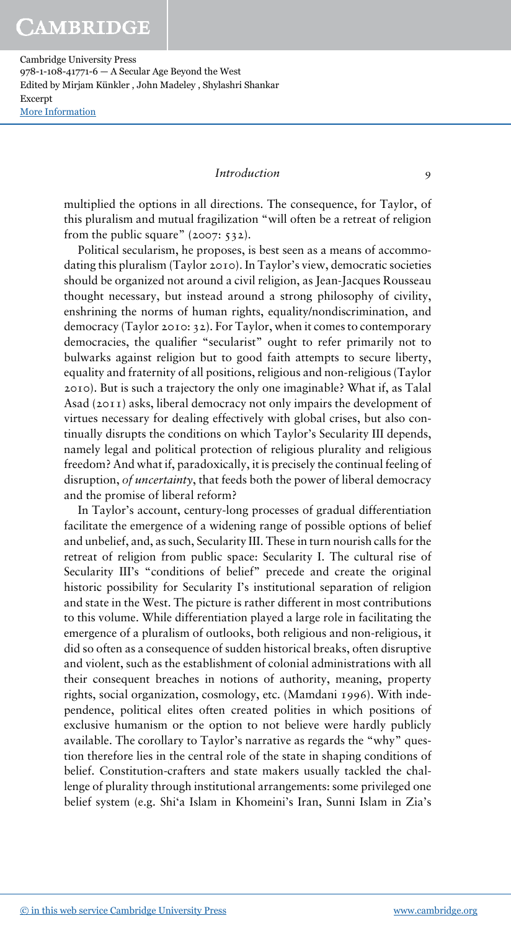# **CAMBRIDGE**

Cambridge University Press 978-1-108-41771-6 — A Secular Age Beyond the West Edited by Mirjam Künkler , John Madeley , Shylashri Shankar Excerpt [More Information](www.cambridge.org/9781108417716)

#### Introduction 9

multiplied the options in all directions. The consequence, for Taylor, of this pluralism and mutual fragilization "will often be a retreat of religion from the public square" (2007: 532).

Political secularism, he proposes, is best seen as a means of accommodating this pluralism (Taylor 2010). In Taylor's view, democratic societies should be organized not around a civil religion, as Jean-Jacques Rousseau thought necessary, but instead around a strong philosophy of civility, enshrining the norms of human rights, equality/nondiscrimination, and democracy (Taylor 2010: 32). For Taylor, when it comes to contemporary democracies, the qualifier "secularist" ought to refer primarily not to bulwarks against religion but to good faith attempts to secure liberty, equality and fraternity of all positions, religious and non-religious (Taylor 2010). But is such a trajectory the only one imaginable? What if, as Talal Asad (2011) asks, liberal democracy not only impairs the development of virtues necessary for dealing effectively with global crises, but also continually disrupts the conditions on which Taylor's Secularity III depends, namely legal and political protection of religious plurality and religious freedom? And what if, paradoxically, it is precisely the continual feeling of disruption, of uncertainty, that feeds both the power of liberal democracy and the promise of liberal reform?

In Taylor's account, century-long processes of gradual differentiation facilitate the emergence of a widening range of possible options of belief and unbelief, and, as such, Secularity III. These in turn nourish calls for the retreat of religion from public space: Secularity I. The cultural rise of Secularity III's "conditions of belief" precede and create the original historic possibility for Secularity I's institutional separation of religion and state in the West. The picture is rather different in most contributions to this volume. While differentiation played a large role in facilitating the emergence of a pluralism of outlooks, both religious and non-religious, it did so often as a consequence of sudden historical breaks, often disruptive and violent, such as the establishment of colonial administrations with all their consequent breaches in notions of authority, meaning, property rights, social organization, cosmology, etc. (Mamdani 1996). With independence, political elites often created polities in which positions of exclusive humanism or the option to not believe were hardly publicly available. The corollary to Taylor's narrative as regards the "why" question therefore lies in the central role of the state in shaping conditions of belief. Constitution-crafters and state makers usually tackled the challenge of plurality through institutional arrangements: some privileged one belief system (e.g. Shi'a Islam in Khomeini's Iran, Sunni Islam in Zia's